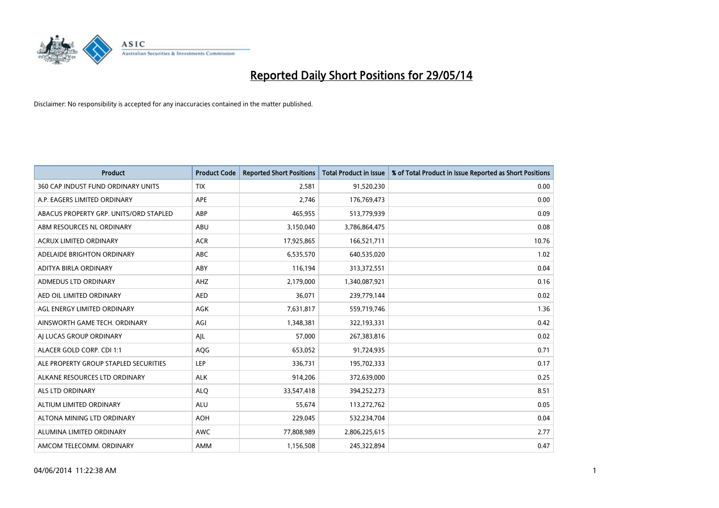

| <b>Product</b>                         | <b>Product Code</b> | <b>Reported Short Positions</b> | <b>Total Product in Issue</b> | % of Total Product in Issue Reported as Short Positions |
|----------------------------------------|---------------------|---------------------------------|-------------------------------|---------------------------------------------------------|
| 360 CAP INDUST FUND ORDINARY UNITS     | <b>TIX</b>          | 2,581                           | 91,520,230                    | 0.00                                                    |
| A.P. EAGERS LIMITED ORDINARY           | APE                 | 2,746                           | 176,769,473                   | 0.00                                                    |
| ABACUS PROPERTY GRP. UNITS/ORD STAPLED | ABP                 | 465,955                         | 513,779,939                   | 0.09                                                    |
| ABM RESOURCES NL ORDINARY              | ABU                 | 3,150,040                       | 3,786,864,475                 | 0.08                                                    |
| <b>ACRUX LIMITED ORDINARY</b>          | <b>ACR</b>          | 17,925,865                      | 166,521,711                   | 10.76                                                   |
| ADELAIDE BRIGHTON ORDINARY             | ABC                 | 6,535,570                       | 640,535,020                   | 1.02                                                    |
| ADITYA BIRLA ORDINARY                  | ABY                 | 116,194                         | 313,372,551                   | 0.04                                                    |
| ADMEDUS LTD ORDINARY                   | AHZ                 | 2,179,000                       | 1,340,087,921                 | 0.16                                                    |
| AED OIL LIMITED ORDINARY               | <b>AED</b>          | 36,071                          | 239,779,144                   | 0.02                                                    |
| AGL ENERGY LIMITED ORDINARY            | AGK                 | 7,631,817                       | 559,719,746                   | 1.36                                                    |
| AINSWORTH GAME TECH. ORDINARY          | AGI                 | 1,348,381                       | 322,193,331                   | 0.42                                                    |
| AI LUCAS GROUP ORDINARY                | AJL                 | 57,000                          | 267,383,816                   | 0.02                                                    |
| ALACER GOLD CORP. CDI 1:1              | AQG                 | 653,052                         | 91,724,935                    | 0.71                                                    |
| ALE PROPERTY GROUP STAPLED SECURITIES  | LEP                 | 336,731                         | 195,702,333                   | 0.17                                                    |
| ALKANE RESOURCES LTD ORDINARY          | <b>ALK</b>          | 914,206                         | 372,639,000                   | 0.25                                                    |
| ALS LTD ORDINARY                       | <b>ALQ</b>          | 33,547,418                      | 394,252,273                   | 8.51                                                    |
| ALTIUM LIMITED ORDINARY                | <b>ALU</b>          | 55,674                          | 113,272,762                   | 0.05                                                    |
| ALTONA MINING LTD ORDINARY             | <b>AOH</b>          | 229,045                         | 532,234,704                   | 0.04                                                    |
| ALUMINA LIMITED ORDINARY               | <b>AWC</b>          | 77,808,989                      | 2,806,225,615                 | 2.77                                                    |
| AMCOM TELECOMM, ORDINARY               | AMM                 | 1,156,508                       | 245,322,894                   | 0.47                                                    |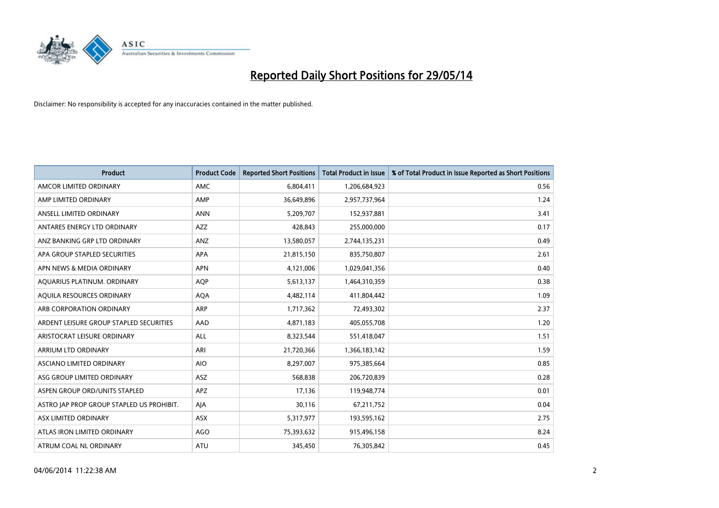

| <b>Product</b>                            | <b>Product Code</b> | <b>Reported Short Positions</b> | <b>Total Product in Issue</b> | % of Total Product in Issue Reported as Short Positions |
|-------------------------------------------|---------------------|---------------------------------|-------------------------------|---------------------------------------------------------|
| AMCOR LIMITED ORDINARY                    | AMC                 | 6,804,411                       | 1,206,684,923                 | 0.56                                                    |
| AMP LIMITED ORDINARY                      | AMP                 | 36,649,896                      | 2,957,737,964                 | 1.24                                                    |
| ANSELL LIMITED ORDINARY                   | <b>ANN</b>          | 5,209,707                       | 152,937,881                   | 3.41                                                    |
| ANTARES ENERGY LTD ORDINARY               | AZZ                 | 428,843                         | 255,000,000                   | 0.17                                                    |
| ANZ BANKING GRP LTD ORDINARY              | ANZ                 | 13,580,057                      | 2,744,135,231                 | 0.49                                                    |
| APA GROUP STAPLED SECURITIES              | <b>APA</b>          | 21,815,150                      | 835,750,807                   | 2.61                                                    |
| APN NEWS & MEDIA ORDINARY                 | <b>APN</b>          | 4,121,006                       | 1,029,041,356                 | 0.40                                                    |
| AQUARIUS PLATINUM. ORDINARY               | <b>AQP</b>          | 5,613,137                       | 1,464,310,359                 | 0.38                                                    |
| AQUILA RESOURCES ORDINARY                 | <b>AQA</b>          | 4,482,114                       | 411,804,442                   | 1.09                                                    |
| ARB CORPORATION ORDINARY                  | <b>ARP</b>          | 1,717,362                       | 72,493,302                    | 2.37                                                    |
| ARDENT LEISURE GROUP STAPLED SECURITIES   | AAD                 | 4,871,183                       | 405,055,708                   | 1.20                                                    |
| ARISTOCRAT LEISURE ORDINARY               | <b>ALL</b>          | 8,323,544                       | 551,418,047                   | 1.51                                                    |
| ARRIUM LTD ORDINARY                       | ARI                 | 21,720,366                      | 1,366,183,142                 | 1.59                                                    |
| ASCIANO LIMITED ORDINARY                  | <b>AIO</b>          | 8,297,007                       | 975,385,664                   | 0.85                                                    |
| ASG GROUP LIMITED ORDINARY                | <b>ASZ</b>          | 568,838                         | 206,720,839                   | 0.28                                                    |
| ASPEN GROUP ORD/UNITS STAPLED             | APZ                 | 17,136                          | 119,948,774                   | 0.01                                                    |
| ASTRO JAP PROP GROUP STAPLED US PROHIBIT. | AJA                 | 30,116                          | 67,211,752                    | 0.04                                                    |
| ASX LIMITED ORDINARY                      | ASX                 | 5,317,977                       | 193,595,162                   | 2.75                                                    |
| ATLAS IRON LIMITED ORDINARY               | AGO                 | 75,393,632                      | 915,496,158                   | 8.24                                                    |
| ATRUM COAL NL ORDINARY                    | ATU                 | 345,450                         | 76,305,842                    | 0.45                                                    |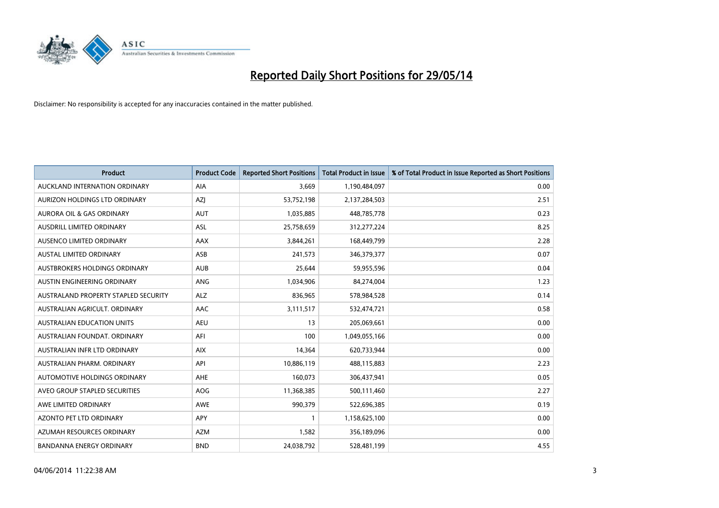

| <b>Product</b>                       | <b>Product Code</b> | <b>Reported Short Positions</b> | <b>Total Product in Issue</b> | % of Total Product in Issue Reported as Short Positions |
|--------------------------------------|---------------------|---------------------------------|-------------------------------|---------------------------------------------------------|
| AUCKLAND INTERNATION ORDINARY        | <b>AIA</b>          | 3,669                           | 1,190,484,097                 | 0.00                                                    |
| AURIZON HOLDINGS LTD ORDINARY        | AZI                 | 53,752,198                      | 2,137,284,503                 | 2.51                                                    |
| <b>AURORA OIL &amp; GAS ORDINARY</b> | <b>AUT</b>          | 1,035,885                       | 448,785,778                   | 0.23                                                    |
| AUSDRILL LIMITED ORDINARY            | ASL                 | 25,758,659                      | 312,277,224                   | 8.25                                                    |
| AUSENCO LIMITED ORDINARY             | AAX                 | 3,844,261                       | 168,449,799                   | 2.28                                                    |
| <b>AUSTAL LIMITED ORDINARY</b>       | ASB                 | 241,573                         | 346,379,377                   | 0.07                                                    |
| AUSTBROKERS HOLDINGS ORDINARY        | <b>AUB</b>          | 25,644                          | 59,955,596                    | 0.04                                                    |
| AUSTIN ENGINEERING ORDINARY          | ANG                 | 1,034,906                       | 84,274,004                    | 1.23                                                    |
| AUSTRALAND PROPERTY STAPLED SECURITY | <b>ALZ</b>          | 836,965                         | 578,984,528                   | 0.14                                                    |
| AUSTRALIAN AGRICULT, ORDINARY        | <b>AAC</b>          | 3,111,517                       | 532,474,721                   | 0.58                                                    |
| AUSTRALIAN EDUCATION UNITS           | <b>AEU</b>          | 13                              | 205,069,661                   | 0.00                                                    |
| AUSTRALIAN FOUNDAT, ORDINARY         | AFI                 | 100                             | 1,049,055,166                 | 0.00                                                    |
| AUSTRALIAN INFR LTD ORDINARY         | <b>AIX</b>          | 14,364                          | 620,733,944                   | 0.00                                                    |
| AUSTRALIAN PHARM. ORDINARY           | API                 | 10,886,119                      | 488,115,883                   | 2.23                                                    |
| AUTOMOTIVE HOLDINGS ORDINARY         | AHE                 | 160,073                         | 306,437,941                   | 0.05                                                    |
| AVEO GROUP STAPLED SECURITIES        | AOG                 | 11,368,385                      | 500,111,460                   | 2.27                                                    |
| AWE LIMITED ORDINARY                 | AWE                 | 990,379                         | 522,696,385                   | 0.19                                                    |
| AZONTO PET LTD ORDINARY              | APY                 | $\mathbf{1}$                    | 1,158,625,100                 | 0.00                                                    |
| AZUMAH RESOURCES ORDINARY            | AZM                 | 1,582                           | 356,189,096                   | 0.00                                                    |
| <b>BANDANNA ENERGY ORDINARY</b>      | <b>BND</b>          | 24,038,792                      | 528,481,199                   | 4.55                                                    |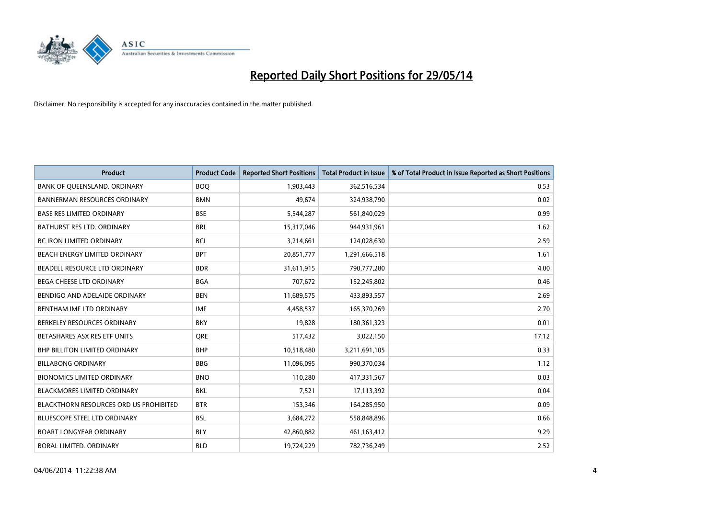

| <b>Product</b>                                | <b>Product Code</b> | <b>Reported Short Positions</b> | <b>Total Product in Issue</b> | % of Total Product in Issue Reported as Short Positions |
|-----------------------------------------------|---------------------|---------------------------------|-------------------------------|---------------------------------------------------------|
| BANK OF QUEENSLAND. ORDINARY                  | <b>BOQ</b>          | 1,903,443                       | 362,516,534                   | 0.53                                                    |
| <b>BANNERMAN RESOURCES ORDINARY</b>           | <b>BMN</b>          | 49.674                          | 324,938,790                   | 0.02                                                    |
| <b>BASE RES LIMITED ORDINARY</b>              | <b>BSE</b>          | 5,544,287                       | 561,840,029                   | 0.99                                                    |
| BATHURST RES LTD. ORDINARY                    | <b>BRL</b>          | 15,317,046                      | 944,931,961                   | 1.62                                                    |
| <b>BC IRON LIMITED ORDINARY</b>               | <b>BCI</b>          | 3,214,661                       | 124,028,630                   | 2.59                                                    |
| BEACH ENERGY LIMITED ORDINARY                 | <b>BPT</b>          | 20,851,777                      | 1,291,666,518                 | 1.61                                                    |
| BEADELL RESOURCE LTD ORDINARY                 | <b>BDR</b>          | 31.611.915                      | 790,777,280                   | 4.00                                                    |
| <b>BEGA CHEESE LTD ORDINARY</b>               | <b>BGA</b>          | 707,672                         | 152,245,802                   | 0.46                                                    |
| BENDIGO AND ADELAIDE ORDINARY                 | <b>BEN</b>          | 11,689,575                      | 433,893,557                   | 2.69                                                    |
| BENTHAM IMF LTD ORDINARY                      | <b>IMF</b>          | 4,458,537                       | 165,370,269                   | 2.70                                                    |
| BERKELEY RESOURCES ORDINARY                   | <b>BKY</b>          | 19,828                          | 180,361,323                   | 0.01                                                    |
| BETASHARES ASX RES ETF UNITS                  | <b>ORE</b>          | 517,432                         | 3,022,150                     | 17.12                                                   |
| <b>BHP BILLITON LIMITED ORDINARY</b>          | <b>BHP</b>          | 10,518,480                      | 3,211,691,105                 | 0.33                                                    |
| <b>BILLABONG ORDINARY</b>                     | <b>BBG</b>          | 11,096,095                      | 990,370,034                   | 1.12                                                    |
| <b>BIONOMICS LIMITED ORDINARY</b>             | <b>BNO</b>          | 110,280                         | 417,331,567                   | 0.03                                                    |
| <b>BLACKMORES LIMITED ORDINARY</b>            | <b>BKL</b>          | 7,521                           | 17,113,392                    | 0.04                                                    |
| <b>BLACKTHORN RESOURCES ORD US PROHIBITED</b> | <b>BTR</b>          | 153,346                         | 164,285,950                   | 0.09                                                    |
| BLUESCOPE STEEL LTD ORDINARY                  | <b>BSL</b>          | 3,684,272                       | 558,848,896                   | 0.66                                                    |
| <b>BOART LONGYEAR ORDINARY</b>                | <b>BLY</b>          | 42,860,882                      | 461,163,412                   | 9.29                                                    |
| <b>BORAL LIMITED, ORDINARY</b>                | <b>BLD</b>          | 19,724,229                      | 782,736,249                   | 2.52                                                    |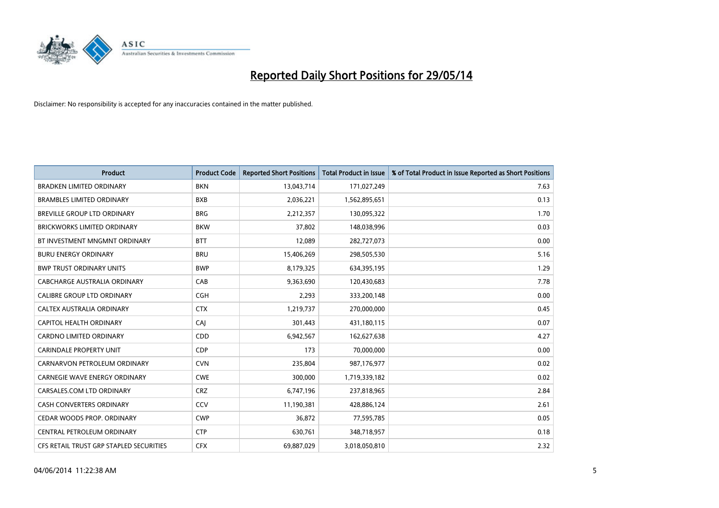

| <b>Product</b>                          | <b>Product Code</b> | <b>Reported Short Positions</b> | <b>Total Product in Issue</b> | % of Total Product in Issue Reported as Short Positions |
|-----------------------------------------|---------------------|---------------------------------|-------------------------------|---------------------------------------------------------|
| <b>BRADKEN LIMITED ORDINARY</b>         | <b>BKN</b>          | 13,043,714                      | 171,027,249                   | 7.63                                                    |
| <b>BRAMBLES LIMITED ORDINARY</b>        | <b>BXB</b>          | 2,036,221                       | 1,562,895,651                 | 0.13                                                    |
| BREVILLE GROUP LTD ORDINARY             | <b>BRG</b>          | 2,212,357                       | 130,095,322                   | 1.70                                                    |
| <b>BRICKWORKS LIMITED ORDINARY</b>      | <b>BKW</b>          | 37,802                          | 148,038,996                   | 0.03                                                    |
| BT INVESTMENT MNGMNT ORDINARY           | <b>BTT</b>          | 12,089                          | 282,727,073                   | 0.00                                                    |
| <b>BURU ENERGY ORDINARY</b>             | <b>BRU</b>          | 15,406,269                      | 298,505,530                   | 5.16                                                    |
| <b>BWP TRUST ORDINARY UNITS</b>         | <b>BWP</b>          | 8,179,325                       | 634,395,195                   | 1.29                                                    |
| CABCHARGE AUSTRALIA ORDINARY            | CAB                 | 9,363,690                       | 120,430,683                   | 7.78                                                    |
| <b>CALIBRE GROUP LTD ORDINARY</b>       | <b>CGH</b>          | 2,293                           | 333,200,148                   | 0.00                                                    |
| CALTEX AUSTRALIA ORDINARY               | <b>CTX</b>          | 1,219,737                       | 270,000,000                   | 0.45                                                    |
| CAPITOL HEALTH ORDINARY                 | CAI                 | 301,443                         | 431,180,115                   | 0.07                                                    |
| <b>CARDNO LIMITED ORDINARY</b>          | CDD                 | 6,942,567                       | 162,627,638                   | 4.27                                                    |
| <b>CARINDALE PROPERTY UNIT</b>          | <b>CDP</b>          | 173                             | 70,000,000                    | 0.00                                                    |
| CARNARVON PETROLEUM ORDINARY            | <b>CVN</b>          | 235,804                         | 987,176,977                   | 0.02                                                    |
| <b>CARNEGIE WAVE ENERGY ORDINARY</b>    | <b>CWE</b>          | 300,000                         | 1,719,339,182                 | 0.02                                                    |
| CARSALES.COM LTD ORDINARY               | <b>CRZ</b>          | 6,747,196                       | 237,818,965                   | 2.84                                                    |
| CASH CONVERTERS ORDINARY                | CCV                 | 11,190,381                      | 428,886,124                   | 2.61                                                    |
| CEDAR WOODS PROP. ORDINARY              | <b>CWP</b>          | 36,872                          | 77,595,785                    | 0.05                                                    |
| CENTRAL PETROLEUM ORDINARY              | <b>CTP</b>          | 630,761                         | 348,718,957                   | 0.18                                                    |
| CFS RETAIL TRUST GRP STAPLED SECURITIES | <b>CFX</b>          | 69,887,029                      | 3,018,050,810                 | 2.32                                                    |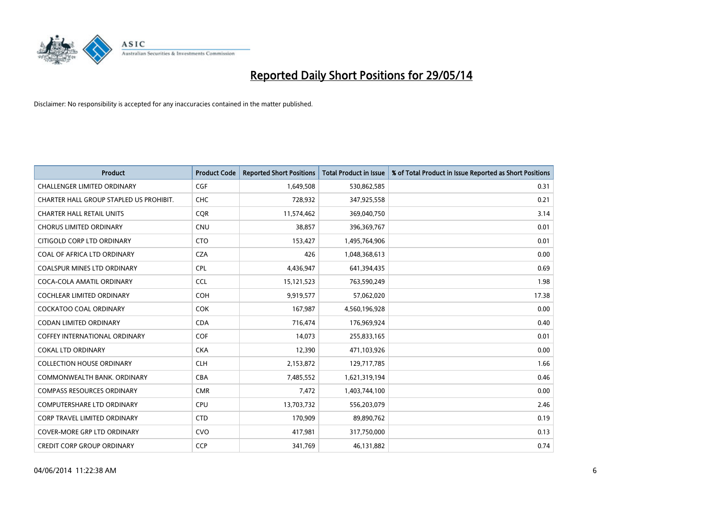

| <b>Product</b>                          | <b>Product Code</b> | <b>Reported Short Positions</b> | <b>Total Product in Issue</b> | % of Total Product in Issue Reported as Short Positions |
|-----------------------------------------|---------------------|---------------------------------|-------------------------------|---------------------------------------------------------|
| <b>CHALLENGER LIMITED ORDINARY</b>      | <b>CGF</b>          | 1,649,508                       | 530,862,585                   | 0.31                                                    |
| CHARTER HALL GROUP STAPLED US PROHIBIT. | <b>CHC</b>          | 728,932                         | 347,925,558                   | 0.21                                                    |
| <b>CHARTER HALL RETAIL UNITS</b>        | <b>CQR</b>          | 11,574,462                      | 369,040,750                   | 3.14                                                    |
| <b>CHORUS LIMITED ORDINARY</b>          | <b>CNU</b>          | 38,857                          | 396,369,767                   | 0.01                                                    |
| CITIGOLD CORP LTD ORDINARY              | <b>CTO</b>          | 153,427                         | 1,495,764,906                 | 0.01                                                    |
| COAL OF AFRICA LTD ORDINARY             | <b>CZA</b>          | 426                             | 1,048,368,613                 | 0.00                                                    |
| <b>COALSPUR MINES LTD ORDINARY</b>      | <b>CPL</b>          | 4,436,947                       | 641,394,435                   | 0.69                                                    |
| COCA-COLA AMATIL ORDINARY               | <b>CCL</b>          | 15,121,523                      | 763,590,249                   | 1.98                                                    |
| <b>COCHLEAR LIMITED ORDINARY</b>        | <b>COH</b>          | 9,919,577                       | 57,062,020                    | 17.38                                                   |
| <b>COCKATOO COAL ORDINARY</b>           | <b>COK</b>          | 167,987                         | 4,560,196,928                 | 0.00                                                    |
| CODAN LIMITED ORDINARY                  | <b>CDA</b>          | 716,474                         | 176,969,924                   | 0.40                                                    |
| <b>COFFEY INTERNATIONAL ORDINARY</b>    | <b>COF</b>          | 14,073                          | 255,833,165                   | 0.01                                                    |
| <b>COKAL LTD ORDINARY</b>               | <b>CKA</b>          | 12,390                          | 471,103,926                   | 0.00                                                    |
| <b>COLLECTION HOUSE ORDINARY</b>        | <b>CLH</b>          | 2,153,872                       | 129,717,785                   | 1.66                                                    |
| COMMONWEALTH BANK, ORDINARY             | <b>CBA</b>          | 7,485,552                       | 1,621,319,194                 | 0.46                                                    |
| <b>COMPASS RESOURCES ORDINARY</b>       | <b>CMR</b>          | 7,472                           | 1,403,744,100                 | 0.00                                                    |
| COMPUTERSHARE LTD ORDINARY              | <b>CPU</b>          | 13,703,732                      | 556,203,079                   | 2.46                                                    |
| <b>CORP TRAVEL LIMITED ORDINARY</b>     | <b>CTD</b>          | 170,909                         | 89,890,762                    | 0.19                                                    |
| <b>COVER-MORE GRP LTD ORDINARY</b>      | <b>CVO</b>          | 417,981                         | 317,750,000                   | 0.13                                                    |
| <b>CREDIT CORP GROUP ORDINARY</b>       | <b>CCP</b>          | 341,769                         | 46,131,882                    | 0.74                                                    |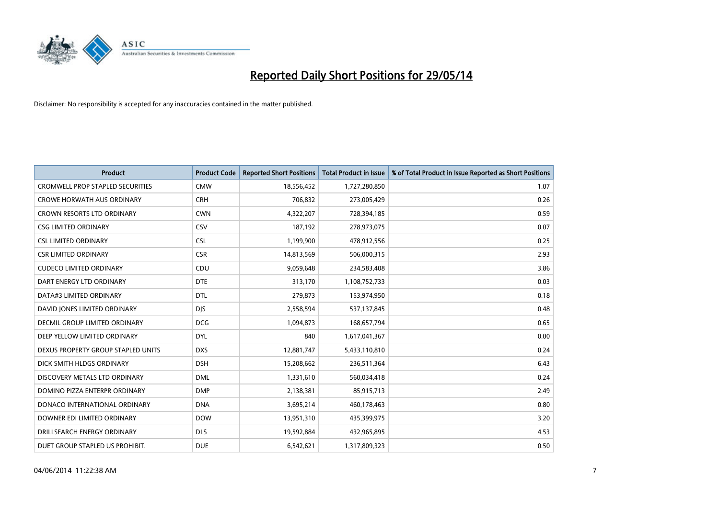

| <b>Product</b>                          | <b>Product Code</b> | <b>Reported Short Positions</b> | <b>Total Product in Issue</b> | % of Total Product in Issue Reported as Short Positions |
|-----------------------------------------|---------------------|---------------------------------|-------------------------------|---------------------------------------------------------|
| <b>CROMWELL PROP STAPLED SECURITIES</b> | <b>CMW</b>          | 18,556,452                      | 1,727,280,850                 | 1.07                                                    |
| <b>CROWE HORWATH AUS ORDINARY</b>       | <b>CRH</b>          | 706,832                         | 273,005,429                   | 0.26                                                    |
| <b>CROWN RESORTS LTD ORDINARY</b>       | <b>CWN</b>          | 4,322,207                       | 728,394,185                   | 0.59                                                    |
| <b>CSG LIMITED ORDINARY</b>             | CSV                 | 187,192                         | 278,973,075                   | 0.07                                                    |
| <b>CSL LIMITED ORDINARY</b>             | <b>CSL</b>          | 1,199,900                       | 478,912,556                   | 0.25                                                    |
| <b>CSR LIMITED ORDINARY</b>             | <b>CSR</b>          | 14,813,569                      | 506,000,315                   | 2.93                                                    |
| <b>CUDECO LIMITED ORDINARY</b>          | <b>CDU</b>          | 9,059,648                       | 234,583,408                   | 3.86                                                    |
| DART ENERGY LTD ORDINARY                | <b>DTE</b>          | 313,170                         | 1,108,752,733                 | 0.03                                                    |
| DATA#3 LIMITED ORDINARY                 | <b>DTL</b>          | 279,873                         | 153,974,950                   | 0.18                                                    |
| DAVID JONES LIMITED ORDINARY            | <b>DIS</b>          | 2,558,594                       | 537,137,845                   | 0.48                                                    |
| DECMIL GROUP LIMITED ORDINARY           | <b>DCG</b>          | 1,094,873                       | 168,657,794                   | 0.65                                                    |
| DEEP YELLOW LIMITED ORDINARY            | <b>DYL</b>          | 840                             | 1,617,041,367                 | 0.00                                                    |
| DEXUS PROPERTY GROUP STAPLED UNITS      | <b>DXS</b>          | 12,881,747                      | 5,433,110,810                 | 0.24                                                    |
| DICK SMITH HLDGS ORDINARY               | <b>DSH</b>          | 15,208,662                      | 236,511,364                   | 6.43                                                    |
| DISCOVERY METALS LTD ORDINARY           | <b>DML</b>          | 1,331,610                       | 560,034,418                   | 0.24                                                    |
| DOMINO PIZZA ENTERPR ORDINARY           | <b>DMP</b>          | 2,138,381                       | 85,915,713                    | 2.49                                                    |
| DONACO INTERNATIONAL ORDINARY           | <b>DNA</b>          | 3,695,214                       | 460,178,463                   | 0.80                                                    |
| DOWNER EDI LIMITED ORDINARY             | <b>DOW</b>          | 13,951,310                      | 435,399,975                   | 3.20                                                    |
| DRILLSEARCH ENERGY ORDINARY             | <b>DLS</b>          | 19,592,884                      | 432,965,895                   | 4.53                                                    |
| DUET GROUP STAPLED US PROHIBIT.         | <b>DUE</b>          | 6,542,621                       | 1,317,809,323                 | 0.50                                                    |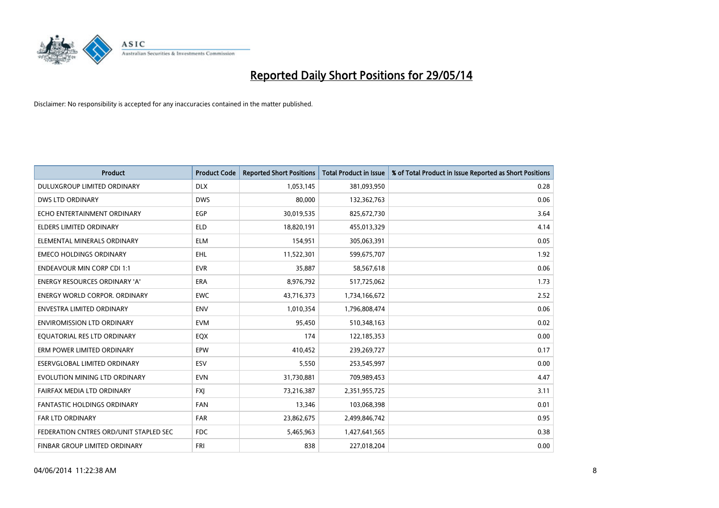

| <b>Product</b>                         | <b>Product Code</b> | <b>Reported Short Positions</b> | <b>Total Product in Issue</b> | % of Total Product in Issue Reported as Short Positions |
|----------------------------------------|---------------------|---------------------------------|-------------------------------|---------------------------------------------------------|
| DULUXGROUP LIMITED ORDINARY            | <b>DLX</b>          | 1,053,145                       | 381,093,950                   | 0.28                                                    |
| DWS LTD ORDINARY                       | <b>DWS</b>          | 80,000                          | 132,362,763                   | 0.06                                                    |
| ECHO ENTERTAINMENT ORDINARY            | <b>EGP</b>          | 30,019,535                      | 825,672,730                   | 3.64                                                    |
| ELDERS LIMITED ORDINARY                | <b>ELD</b>          | 18.820.191                      | 455,013,329                   | 4.14                                                    |
| ELEMENTAL MINERALS ORDINARY            | <b>ELM</b>          | 154,951                         | 305,063,391                   | 0.05                                                    |
| <b>EMECO HOLDINGS ORDINARY</b>         | <b>EHL</b>          | 11,522,301                      | 599,675,707                   | 1.92                                                    |
| <b>ENDEAVOUR MIN CORP CDI 1:1</b>      | <b>EVR</b>          | 35,887                          | 58,567,618                    | 0.06                                                    |
| <b>ENERGY RESOURCES ORDINARY 'A'</b>   | <b>ERA</b>          | 8,976,792                       | 517,725,062                   | 1.73                                                    |
| <b>ENERGY WORLD CORPOR, ORDINARY</b>   | <b>EWC</b>          | 43,716,373                      | 1,734,166,672                 | 2.52                                                    |
| <b>ENVESTRA LIMITED ORDINARY</b>       | ENV                 | 1,010,354                       | 1,796,808,474                 | 0.06                                                    |
| <b>ENVIROMISSION LTD ORDINARY</b>      | <b>EVM</b>          | 95,450                          | 510,348,163                   | 0.02                                                    |
| EQUATORIAL RES LTD ORDINARY            | EQX                 | 174                             | 122,185,353                   | 0.00                                                    |
| ERM POWER LIMITED ORDINARY             | <b>EPW</b>          | 410,452                         | 239,269,727                   | 0.17                                                    |
| ESERVGLOBAL LIMITED ORDINARY           | ESV                 | 5,550                           | 253,545,997                   | 0.00                                                    |
| EVOLUTION MINING LTD ORDINARY          | <b>EVN</b>          | 31,730,881                      | 709,989,453                   | 4.47                                                    |
| FAIRFAX MEDIA LTD ORDINARY             | <b>FXI</b>          | 73,216,387                      | 2,351,955,725                 | 3.11                                                    |
| <b>FANTASTIC HOLDINGS ORDINARY</b>     | <b>FAN</b>          | 13,346                          | 103,068,398                   | 0.01                                                    |
| <b>FAR LTD ORDINARY</b>                | <b>FAR</b>          | 23,862,675                      | 2,499,846,742                 | 0.95                                                    |
| FEDERATION CNTRES ORD/UNIT STAPLED SEC | FDC                 | 5,465,963                       | 1,427,641,565                 | 0.38                                                    |
| FINBAR GROUP LIMITED ORDINARY          | <b>FRI</b>          | 838                             | 227,018,204                   | 0.00                                                    |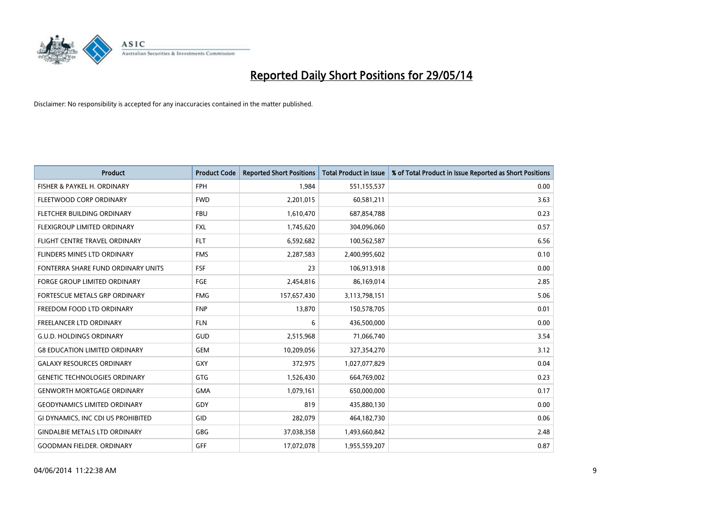

| <b>Product</b>                       | <b>Product Code</b> | <b>Reported Short Positions</b> | <b>Total Product in Issue</b> | % of Total Product in Issue Reported as Short Positions |
|--------------------------------------|---------------------|---------------------------------|-------------------------------|---------------------------------------------------------|
| FISHER & PAYKEL H. ORDINARY          | <b>FPH</b>          | 1,984                           | 551,155,537                   | 0.00                                                    |
| FLEETWOOD CORP ORDINARY              | <b>FWD</b>          | 2,201,015                       | 60,581,211                    | 3.63                                                    |
| FLETCHER BUILDING ORDINARY           | <b>FBU</b>          | 1,610,470                       | 687,854,788                   | 0.23                                                    |
| FLEXIGROUP LIMITED ORDINARY          | FXL                 | 1,745,620                       | 304,096,060                   | 0.57                                                    |
| FLIGHT CENTRE TRAVEL ORDINARY        | <b>FLT</b>          | 6,592,682                       | 100,562,587                   | 6.56                                                    |
| FLINDERS MINES LTD ORDINARY          | <b>FMS</b>          | 2,287,583                       | 2,400,995,602                 | 0.10                                                    |
| FONTERRA SHARE FUND ORDINARY UNITS   | FSF                 | 23                              | 106,913,918                   | 0.00                                                    |
| FORGE GROUP LIMITED ORDINARY         | FGE                 | 2,454,816                       | 86,169,014                    | 2.85                                                    |
| <b>FORTESCUE METALS GRP ORDINARY</b> | <b>FMG</b>          | 157,657,430                     | 3,113,798,151                 | 5.06                                                    |
| FREEDOM FOOD LTD ORDINARY            | <b>FNP</b>          | 13,870                          | 150,578,705                   | 0.01                                                    |
| FREELANCER LTD ORDINARY              | <b>FLN</b>          | 6                               | 436,500,000                   | 0.00                                                    |
| <b>G.U.D. HOLDINGS ORDINARY</b>      | GUD                 | 2,515,968                       | 71,066,740                    | 3.54                                                    |
| <b>G8 EDUCATION LIMITED ORDINARY</b> | <b>GEM</b>          | 10,209,056                      | 327,354,270                   | 3.12                                                    |
| <b>GALAXY RESOURCES ORDINARY</b>     | GXY                 | 372,975                         | 1,027,077,829                 | 0.04                                                    |
| <b>GENETIC TECHNOLOGIES ORDINARY</b> | <b>GTG</b>          | 1,526,430                       | 664,769,002                   | 0.23                                                    |
| <b>GENWORTH MORTGAGE ORDINARY</b>    | <b>GMA</b>          | 1,079,161                       | 650,000,000                   | 0.17                                                    |
| <b>GEODYNAMICS LIMITED ORDINARY</b>  | GDY                 | 819                             | 435,880,130                   | 0.00                                                    |
| GI DYNAMICS, INC CDI US PROHIBITED   | <b>GID</b>          | 282,079                         | 464,182,730                   | 0.06                                                    |
| <b>GINDALBIE METALS LTD ORDINARY</b> | GBG                 | 37,038,358                      | 1,493,660,842                 | 2.48                                                    |
| <b>GOODMAN FIELDER. ORDINARY</b>     | GFF                 | 17,072,078                      | 1,955,559,207                 | 0.87                                                    |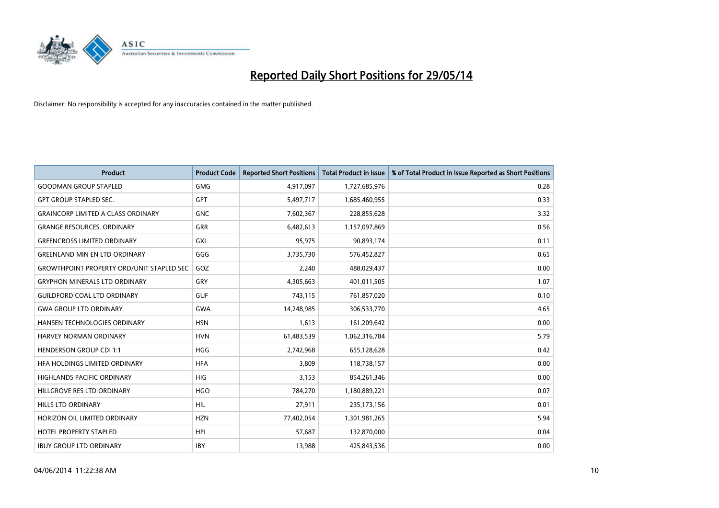

| <b>Product</b>                                   | <b>Product Code</b> | <b>Reported Short Positions</b> | <b>Total Product in Issue</b> | % of Total Product in Issue Reported as Short Positions |
|--------------------------------------------------|---------------------|---------------------------------|-------------------------------|---------------------------------------------------------|
| <b>GOODMAN GROUP STAPLED</b>                     | <b>GMG</b>          | 4,917,097                       | 1,727,685,976                 | 0.28                                                    |
| <b>GPT GROUP STAPLED SEC.</b>                    | <b>GPT</b>          | 5,497,717                       | 1,685,460,955                 | 0.33                                                    |
| <b>GRAINCORP LIMITED A CLASS ORDINARY</b>        | <b>GNC</b>          | 7,602,367                       | 228,855,628                   | 3.32                                                    |
| <b>GRANGE RESOURCES. ORDINARY</b>                | GRR                 | 6,482,613                       | 1,157,097,869                 | 0.56                                                    |
| <b>GREENCROSS LIMITED ORDINARY</b>               | <b>GXL</b>          | 95,975                          | 90,893,174                    | 0.11                                                    |
| <b>GREENLAND MIN EN LTD ORDINARY</b>             | GGG                 | 3,735,730                       | 576,452,827                   | 0.65                                                    |
| <b>GROWTHPOINT PROPERTY ORD/UNIT STAPLED SEC</b> | GOZ                 | 2,240                           | 488,029,437                   | 0.00                                                    |
| <b>GRYPHON MINERALS LTD ORDINARY</b>             | GRY                 | 4,305,663                       | 401,011,505                   | 1.07                                                    |
| <b>GUILDFORD COAL LTD ORDINARY</b>               | <b>GUF</b>          | 743,115                         | 761,857,020                   | 0.10                                                    |
| <b>GWA GROUP LTD ORDINARY</b>                    | <b>GWA</b>          | 14,248,985                      | 306,533,770                   | 4.65                                                    |
| HANSEN TECHNOLOGIES ORDINARY                     | <b>HSN</b>          | 1,613                           | 161,209,642                   | 0.00                                                    |
| <b>HARVEY NORMAN ORDINARY</b>                    | <b>HVN</b>          | 61,483,539                      | 1,062,316,784                 | 5.79                                                    |
| <b>HENDERSON GROUP CDI 1:1</b>                   | <b>HGG</b>          | 2,742,968                       | 655,128,628                   | 0.42                                                    |
| HFA HOLDINGS LIMITED ORDINARY                    | <b>HFA</b>          | 3,809                           | 118,738,157                   | 0.00                                                    |
| <b>HIGHLANDS PACIFIC ORDINARY</b>                | <b>HIG</b>          | 3,153                           | 854,261,346                   | 0.00                                                    |
| HILLGROVE RES LTD ORDINARY                       | <b>HGO</b>          | 784,270                         | 1,180,889,221                 | 0.07                                                    |
| <b>HILLS LTD ORDINARY</b>                        | <b>HIL</b>          | 27,911                          | 235,173,156                   | 0.01                                                    |
| HORIZON OIL LIMITED ORDINARY                     | <b>HZN</b>          | 77,402,054                      | 1,301,981,265                 | 5.94                                                    |
| HOTEL PROPERTY STAPLED                           | <b>HPI</b>          | 57,687                          | 132,870,000                   | 0.04                                                    |
| <b>IBUY GROUP LTD ORDINARY</b>                   | <b>IBY</b>          | 13,988                          | 425,843,536                   | 0.00                                                    |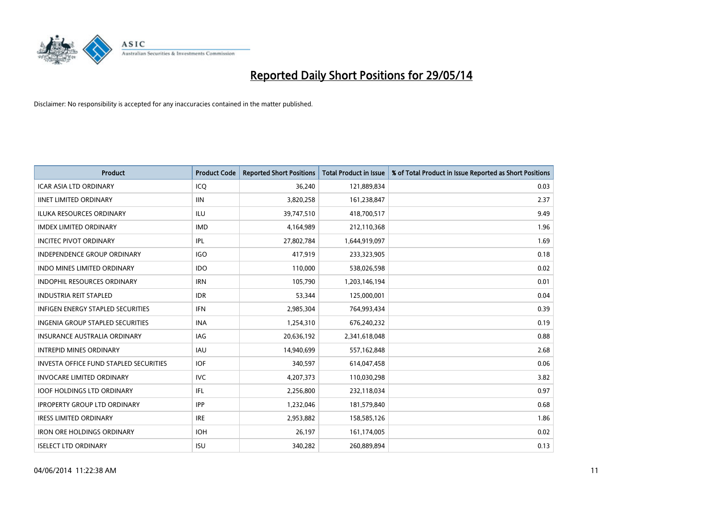

| <b>Product</b>                                | <b>Product Code</b> | <b>Reported Short Positions</b> | <b>Total Product in Issue</b> | % of Total Product in Issue Reported as Short Positions |
|-----------------------------------------------|---------------------|---------------------------------|-------------------------------|---------------------------------------------------------|
| <b>ICAR ASIA LTD ORDINARY</b>                 | ICQ                 | 36,240                          | 121,889,834                   | 0.03                                                    |
| <b>IINET LIMITED ORDINARY</b>                 | <b>IIN</b>          | 3,820,258                       | 161,238,847                   | 2.37                                                    |
| <b>ILUKA RESOURCES ORDINARY</b>               | ILU                 | 39,747,510                      | 418,700,517                   | 9.49                                                    |
| <b>IMDEX LIMITED ORDINARY</b>                 | <b>IMD</b>          | 4,164,989                       | 212,110,368                   | 1.96                                                    |
| <b>INCITEC PIVOT ORDINARY</b>                 | IPL                 | 27,802,784                      | 1,644,919,097                 | 1.69                                                    |
| <b>INDEPENDENCE GROUP ORDINARY</b>            | <b>IGO</b>          | 417,919                         | 233,323,905                   | 0.18                                                    |
| <b>INDO MINES LIMITED ORDINARY</b>            | <b>IDO</b>          | 110,000                         | 538,026,598                   | 0.02                                                    |
| <b>INDOPHIL RESOURCES ORDINARY</b>            | <b>IRN</b>          | 105,790                         | 1,203,146,194                 | 0.01                                                    |
| <b>INDUSTRIA REIT STAPLED</b>                 | <b>IDR</b>          | 53,344                          | 125,000,001                   | 0.04                                                    |
| INFIGEN ENERGY STAPLED SECURITIES             | <b>IFN</b>          | 2,985,304                       | 764,993,434                   | 0.39                                                    |
| INGENIA GROUP STAPLED SECURITIES              | <b>INA</b>          | 1,254,310                       | 676,240,232                   | 0.19                                                    |
| <b>INSURANCE AUSTRALIA ORDINARY</b>           | IAG                 | 20,636,192                      | 2,341,618,048                 | 0.88                                                    |
| <b>INTREPID MINES ORDINARY</b>                | <b>IAU</b>          | 14,940,699                      | 557,162,848                   | 2.68                                                    |
| <b>INVESTA OFFICE FUND STAPLED SECURITIES</b> | <b>IOF</b>          | 340,597                         | 614,047,458                   | 0.06                                                    |
| <b>INVOCARE LIMITED ORDINARY</b>              | <b>IVC</b>          | 4,207,373                       | 110,030,298                   | 3.82                                                    |
| <b>IOOF HOLDINGS LTD ORDINARY</b>             | IFL                 | 2,256,800                       | 232,118,034                   | 0.97                                                    |
| <b>IPROPERTY GROUP LTD ORDINARY</b>           | <b>IPP</b>          | 1,232,046                       | 181,579,840                   | 0.68                                                    |
| <b>IRESS LIMITED ORDINARY</b>                 | <b>IRE</b>          | 2,953,882                       | 158,585,126                   | 1.86                                                    |
| <b>IRON ORE HOLDINGS ORDINARY</b>             | <b>IOH</b>          | 26,197                          | 161,174,005                   | 0.02                                                    |
| <b>ISELECT LTD ORDINARY</b>                   | <b>ISU</b>          | 340,282                         | 260,889,894                   | 0.13                                                    |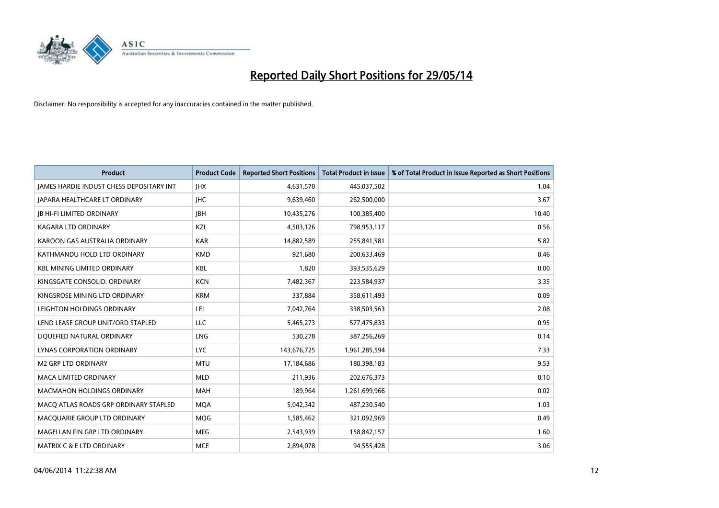

| <b>Product</b>                                  | <b>Product Code</b> | <b>Reported Short Positions</b> | <b>Total Product in Issue</b> | % of Total Product in Issue Reported as Short Positions |
|-------------------------------------------------|---------------------|---------------------------------|-------------------------------|---------------------------------------------------------|
| <b>IAMES HARDIE INDUST CHESS DEPOSITARY INT</b> | <b>IHX</b>          | 4,631,570                       | 445,037,502                   | 1.04                                                    |
| JAPARA HEALTHCARE LT ORDINARY                   | JHC                 | 9,639,460                       | 262,500,000                   | 3.67                                                    |
| <b>IB HI-FI LIMITED ORDINARY</b>                | <b>IBH</b>          | 10,435,276                      | 100,385,400                   | 10.40                                                   |
| <b>KAGARA LTD ORDINARY</b>                      | KZL                 | 4,503,126                       | 798,953,117                   | 0.56                                                    |
| KAROON GAS AUSTRALIA ORDINARY                   | <b>KAR</b>          | 14,882,589                      | 255,841,581                   | 5.82                                                    |
| KATHMANDU HOLD LTD ORDINARY                     | <b>KMD</b>          | 921,680                         | 200,633,469                   | 0.46                                                    |
| <b>KBL MINING LIMITED ORDINARY</b>              | KBL                 | 1,820                           | 393,535,629                   | 0.00                                                    |
| KINGSGATE CONSOLID. ORDINARY                    | <b>KCN</b>          | 7,482,367                       | 223,584,937                   | 3.35                                                    |
| KINGSROSE MINING LTD ORDINARY                   | <b>KRM</b>          | 337,884                         | 358,611,493                   | 0.09                                                    |
| LEIGHTON HOLDINGS ORDINARY                      | LEI                 | 7,042,764                       | 338,503,563                   | 2.08                                                    |
| LEND LEASE GROUP UNIT/ORD STAPLED               | <b>LLC</b>          | 5,465,273                       | 577,475,833                   | 0.95                                                    |
| LIQUEFIED NATURAL ORDINARY                      | LNG                 | 530,278                         | 387,256,269                   | 0.14                                                    |
| <b>LYNAS CORPORATION ORDINARY</b>               | <b>LYC</b>          | 143,676,725                     | 1,961,285,594                 | 7.33                                                    |
| <b>M2 GRP LTD ORDINARY</b>                      | <b>MTU</b>          | 17,184,686                      | 180,398,183                   | 9.53                                                    |
| <b>MACA LIMITED ORDINARY</b>                    | <b>MLD</b>          | 211,936                         | 202,676,373                   | 0.10                                                    |
| MACMAHON HOLDINGS ORDINARY                      | MAH                 | 189,964                         | 1,261,699,966                 | 0.02                                                    |
| MACO ATLAS ROADS GRP ORDINARY STAPLED           | <b>MQA</b>          | 5,042,342                       | 487,230,540                   | 1.03                                                    |
| MACQUARIE GROUP LTD ORDINARY                    | <b>MQG</b>          | 1,585,462                       | 321,092,969                   | 0.49                                                    |
| MAGELLAN FIN GRP LTD ORDINARY                   | <b>MFG</b>          | 2,543,939                       | 158,842,157                   | 1.60                                                    |
| MATRIX C & E LTD ORDINARY                       | <b>MCE</b>          | 2,894,078                       | 94,555,428                    | 3.06                                                    |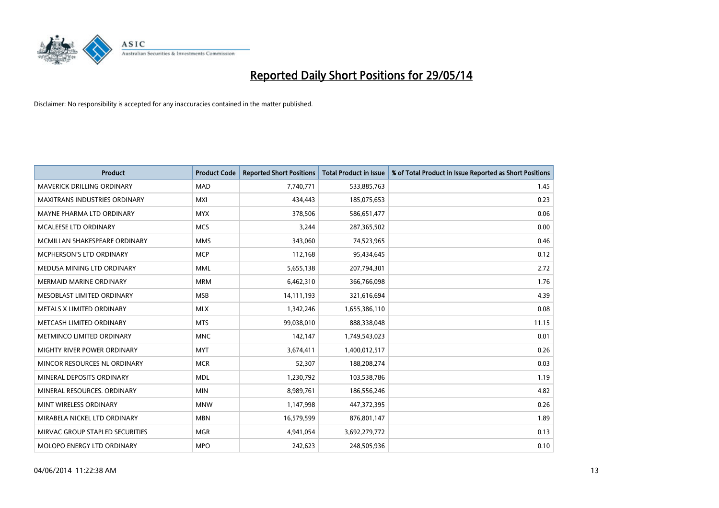

| <b>Product</b>                    | <b>Product Code</b> | <b>Reported Short Positions</b> | <b>Total Product in Issue</b> | % of Total Product in Issue Reported as Short Positions |
|-----------------------------------|---------------------|---------------------------------|-------------------------------|---------------------------------------------------------|
| <b>MAVERICK DRILLING ORDINARY</b> | <b>MAD</b>          | 7,740,771                       | 533,885,763                   | 1.45                                                    |
| MAXITRANS INDUSTRIES ORDINARY     | MXI                 | 434,443                         | 185,075,653                   | 0.23                                                    |
| MAYNE PHARMA LTD ORDINARY         | <b>MYX</b>          | 378,506                         | 586,651,477                   | 0.06                                                    |
| MCALEESE LTD ORDINARY             | <b>MCS</b>          | 3,244                           | 287,365,502                   | 0.00                                                    |
| MCMILLAN SHAKESPEARE ORDINARY     | <b>MMS</b>          | 343,060                         | 74,523,965                    | 0.46                                                    |
| <b>MCPHERSON'S LTD ORDINARY</b>   | <b>MCP</b>          | 112,168                         | 95,434,645                    | 0.12                                                    |
| MEDUSA MINING LTD ORDINARY        | <b>MML</b>          | 5,655,138                       | 207,794,301                   | 2.72                                                    |
| <b>MERMAID MARINE ORDINARY</b>    | <b>MRM</b>          | 6,462,310                       | 366,766,098                   | 1.76                                                    |
| MESOBLAST LIMITED ORDINARY        | <b>MSB</b>          | 14,111,193                      | 321,616,694                   | 4.39                                                    |
| METALS X LIMITED ORDINARY         | <b>MLX</b>          | 1,342,246                       | 1,655,386,110                 | 0.08                                                    |
| METCASH LIMITED ORDINARY          | <b>MTS</b>          | 99,038,010                      | 888,338,048                   | 11.15                                                   |
| METMINCO LIMITED ORDINARY         | <b>MNC</b>          | 142,147                         | 1,749,543,023                 | 0.01                                                    |
| MIGHTY RIVER POWER ORDINARY       | <b>MYT</b>          | 3,674,411                       | 1,400,012,517                 | 0.26                                                    |
| MINCOR RESOURCES NL ORDINARY      | <b>MCR</b>          | 52,307                          | 188,208,274                   | 0.03                                                    |
| MINERAL DEPOSITS ORDINARY         | <b>MDL</b>          | 1,230,792                       | 103,538,786                   | 1.19                                                    |
| MINERAL RESOURCES. ORDINARY       | <b>MIN</b>          | 8,989,761                       | 186,556,246                   | 4.82                                                    |
| MINT WIRELESS ORDINARY            | <b>MNW</b>          | 1,147,998                       | 447,372,395                   | 0.26                                                    |
| MIRABELA NICKEL LTD ORDINARY      | <b>MBN</b>          | 16,579,599                      | 876,801,147                   | 1.89                                                    |
| MIRVAC GROUP STAPLED SECURITIES   | <b>MGR</b>          | 4,941,054                       | 3,692,279,772                 | 0.13                                                    |
| MOLOPO ENERGY LTD ORDINARY        | <b>MPO</b>          | 242,623                         | 248,505,936                   | 0.10                                                    |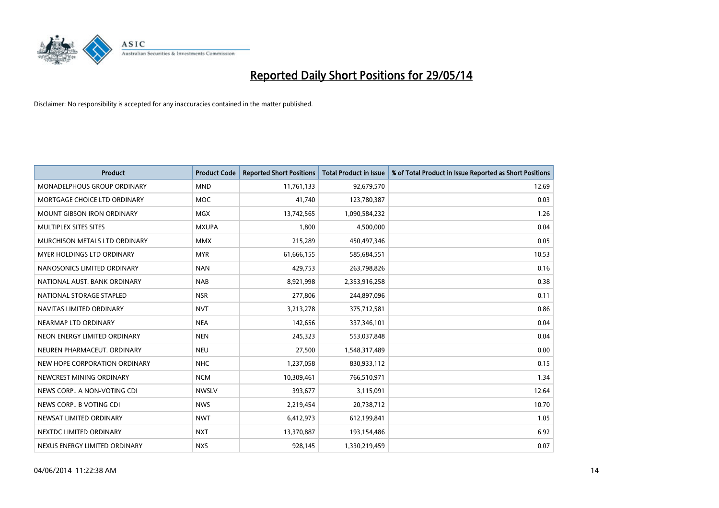

| <b>Product</b>                     | <b>Product Code</b> | <b>Reported Short Positions</b> | <b>Total Product in Issue</b> | % of Total Product in Issue Reported as Short Positions |
|------------------------------------|---------------------|---------------------------------|-------------------------------|---------------------------------------------------------|
| <b>MONADELPHOUS GROUP ORDINARY</b> | <b>MND</b>          | 11,761,133                      | 92,679,570                    | 12.69                                                   |
| MORTGAGE CHOICE LTD ORDINARY       | MOC                 | 41,740                          | 123,780,387                   | 0.03                                                    |
| <b>MOUNT GIBSON IRON ORDINARY</b>  | <b>MGX</b>          | 13,742,565                      | 1,090,584,232                 | 1.26                                                    |
| MULTIPLEX SITES SITES              | <b>MXUPA</b>        | 1,800                           | 4,500,000                     | 0.04                                                    |
| MURCHISON METALS LTD ORDINARY      | <b>MMX</b>          | 215,289                         | 450,497,346                   | 0.05                                                    |
| MYER HOLDINGS LTD ORDINARY         | <b>MYR</b>          | 61,666,155                      | 585,684,551                   | 10.53                                                   |
| NANOSONICS LIMITED ORDINARY        | <b>NAN</b>          | 429,753                         | 263,798,826                   | 0.16                                                    |
| NATIONAL AUST. BANK ORDINARY       | <b>NAB</b>          | 8,921,998                       | 2,353,916,258                 | 0.38                                                    |
| NATIONAL STORAGE STAPLED           | <b>NSR</b>          | 277,806                         | 244,897,096                   | 0.11                                                    |
| NAVITAS LIMITED ORDINARY           | <b>NVT</b>          | 3,213,278                       | 375,712,581                   | 0.86                                                    |
| NEARMAP LTD ORDINARY               | <b>NEA</b>          | 142,656                         | 337,346,101                   | 0.04                                                    |
| NEON ENERGY LIMITED ORDINARY       | <b>NEN</b>          | 245,323                         | 553,037,848                   | 0.04                                                    |
| NEUREN PHARMACEUT. ORDINARY        | <b>NEU</b>          | 27,500                          | 1,548,317,489                 | 0.00                                                    |
| NEW HOPE CORPORATION ORDINARY      | <b>NHC</b>          | 1,237,058                       | 830,933,112                   | 0.15                                                    |
| NEWCREST MINING ORDINARY           | <b>NCM</b>          | 10,309,461                      | 766,510,971                   | 1.34                                                    |
| NEWS CORP A NON-VOTING CDI         | <b>NWSLV</b>        | 393,677                         | 3,115,091                     | 12.64                                                   |
| NEWS CORP B VOTING CDI             | <b>NWS</b>          | 2,219,454                       | 20,738,712                    | 10.70                                                   |
| NEWSAT LIMITED ORDINARY            | <b>NWT</b>          | 6,412,973                       | 612,199,841                   | 1.05                                                    |
| NEXTDC LIMITED ORDINARY            | <b>NXT</b>          | 13,370,887                      | 193,154,486                   | 6.92                                                    |
| NEXUS ENERGY LIMITED ORDINARY      | <b>NXS</b>          | 928,145                         | 1,330,219,459                 | 0.07                                                    |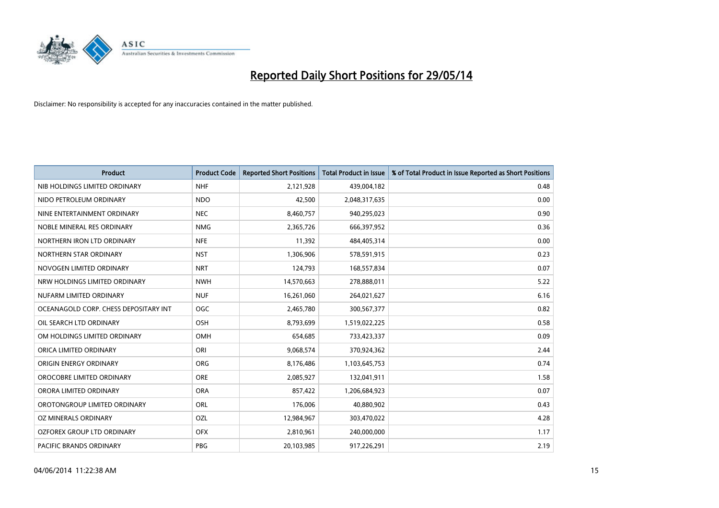

| <b>Product</b>                        | <b>Product Code</b> | <b>Reported Short Positions</b> | <b>Total Product in Issue</b> | % of Total Product in Issue Reported as Short Positions |
|---------------------------------------|---------------------|---------------------------------|-------------------------------|---------------------------------------------------------|
| NIB HOLDINGS LIMITED ORDINARY         | <b>NHF</b>          | 2,121,928                       | 439,004,182                   | 0.48                                                    |
| NIDO PETROLEUM ORDINARY               | <b>NDO</b>          | 42,500                          | 2,048,317,635                 | 0.00                                                    |
| NINE ENTERTAINMENT ORDINARY           | <b>NEC</b>          | 8,460,757                       | 940,295,023                   | 0.90                                                    |
| NOBLE MINERAL RES ORDINARY            | <b>NMG</b>          | 2,365,726                       | 666,397,952                   | 0.36                                                    |
| NORTHERN IRON LTD ORDINARY            | <b>NFE</b>          | 11,392                          | 484,405,314                   | 0.00                                                    |
| NORTHERN STAR ORDINARY                | <b>NST</b>          | 1,306,906                       | 578,591,915                   | 0.23                                                    |
| NOVOGEN LIMITED ORDINARY              | <b>NRT</b>          | 124,793                         | 168,557,834                   | 0.07                                                    |
| NRW HOLDINGS LIMITED ORDINARY         | <b>NWH</b>          | 14,570,663                      | 278,888,011                   | 5.22                                                    |
| NUFARM LIMITED ORDINARY               | <b>NUF</b>          | 16,261,060                      | 264,021,627                   | 6.16                                                    |
| OCEANAGOLD CORP. CHESS DEPOSITARY INT | <b>OGC</b>          | 2,465,780                       | 300,567,377                   | 0.82                                                    |
| OIL SEARCH LTD ORDINARY               | OSH                 | 8,793,699                       | 1,519,022,225                 | 0.58                                                    |
| OM HOLDINGS LIMITED ORDINARY          | OMH                 | 654,685                         | 733,423,337                   | 0.09                                                    |
| ORICA LIMITED ORDINARY                | ORI                 | 9,068,574                       | 370,924,362                   | 2.44                                                    |
| ORIGIN ENERGY ORDINARY                | ORG                 | 8,176,486                       | 1,103,645,753                 | 0.74                                                    |
| OROCOBRE LIMITED ORDINARY             | <b>ORE</b>          | 2,085,927                       | 132,041,911                   | 1.58                                                    |
| ORORA LIMITED ORDINARY                | <b>ORA</b>          | 857,422                         | 1,206,684,923                 | 0.07                                                    |
| OROTONGROUP LIMITED ORDINARY          | ORL                 | 176,006                         | 40,880,902                    | 0.43                                                    |
| OZ MINERALS ORDINARY                  | OZL                 | 12,984,967                      | 303,470,022                   | 4.28                                                    |
| OZFOREX GROUP LTD ORDINARY            | <b>OFX</b>          | 2,810,961                       | 240,000,000                   | 1.17                                                    |
| PACIFIC BRANDS ORDINARY               | <b>PBG</b>          | 20,103,985                      | 917,226,291                   | 2.19                                                    |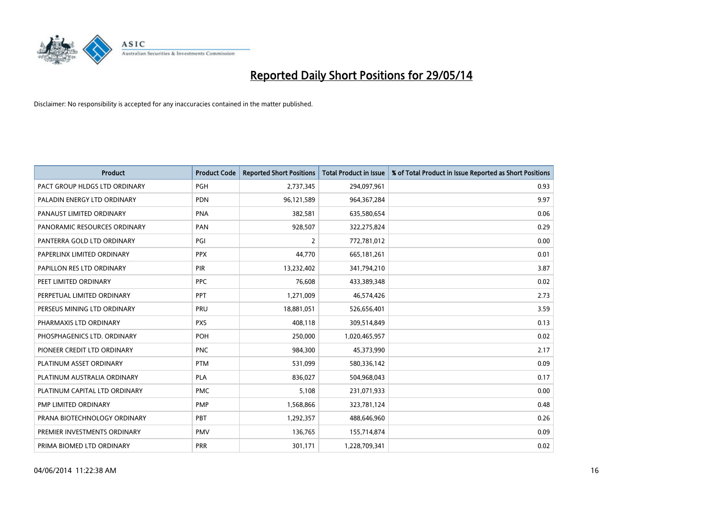

| <b>Product</b>                | <b>Product Code</b> | <b>Reported Short Positions</b> | <b>Total Product in Issue</b> | % of Total Product in Issue Reported as Short Positions |
|-------------------------------|---------------------|---------------------------------|-------------------------------|---------------------------------------------------------|
| PACT GROUP HLDGS LTD ORDINARY | <b>PGH</b>          | 2,737,345                       | 294,097,961                   | 0.93                                                    |
| PALADIN ENERGY LTD ORDINARY   | <b>PDN</b>          | 96,121,589                      | 964, 367, 284                 | 9.97                                                    |
| PANAUST LIMITED ORDINARY      | <b>PNA</b>          | 382,581                         | 635,580,654                   | 0.06                                                    |
| PANORAMIC RESOURCES ORDINARY  | PAN                 | 928,507                         | 322,275,824                   | 0.29                                                    |
| PANTERRA GOLD LTD ORDINARY    | PGI                 | 2                               | 772,781,012                   | 0.00                                                    |
| PAPERLINX LIMITED ORDINARY    | <b>PPX</b>          | 44,770                          | 665, 181, 261                 | 0.01                                                    |
| PAPILLON RES LTD ORDINARY     | <b>PIR</b>          | 13,232,402                      | 341,794,210                   | 3.87                                                    |
| PEET LIMITED ORDINARY         | <b>PPC</b>          | 76,608                          | 433,389,348                   | 0.02                                                    |
| PERPETUAL LIMITED ORDINARY    | PPT                 | 1,271,009                       | 46,574,426                    | 2.73                                                    |
| PERSEUS MINING LTD ORDINARY   | PRU                 | 18,881,051                      | 526,656,401                   | 3.59                                                    |
| PHARMAXIS LTD ORDINARY        | <b>PXS</b>          | 408,118                         | 309,514,849                   | 0.13                                                    |
| PHOSPHAGENICS LTD. ORDINARY   | <b>POH</b>          | 250,000                         | 1,020,465,957                 | 0.02                                                    |
| PIONEER CREDIT LTD ORDINARY   | <b>PNC</b>          | 984,300                         | 45,373,990                    | 2.17                                                    |
| PLATINUM ASSET ORDINARY       | <b>PTM</b>          | 531,099                         | 580,336,142                   | 0.09                                                    |
| PLATINUM AUSTRALIA ORDINARY   | <b>PLA</b>          | 836,027                         | 504,968,043                   | 0.17                                                    |
| PLATINUM CAPITAL LTD ORDINARY | <b>PMC</b>          | 5,108                           | 231,071,933                   | 0.00                                                    |
| PMP LIMITED ORDINARY          | <b>PMP</b>          | 1,568,866                       | 323,781,124                   | 0.48                                                    |
| PRANA BIOTECHNOLOGY ORDINARY  | <b>PBT</b>          | 1,292,357                       | 488,646,960                   | 0.26                                                    |
| PREMIER INVESTMENTS ORDINARY  | <b>PMV</b>          | 136,765                         | 155,714,874                   | 0.09                                                    |
| PRIMA BIOMED LTD ORDINARY     | <b>PRR</b>          | 301,171                         | 1,228,709,341                 | 0.02                                                    |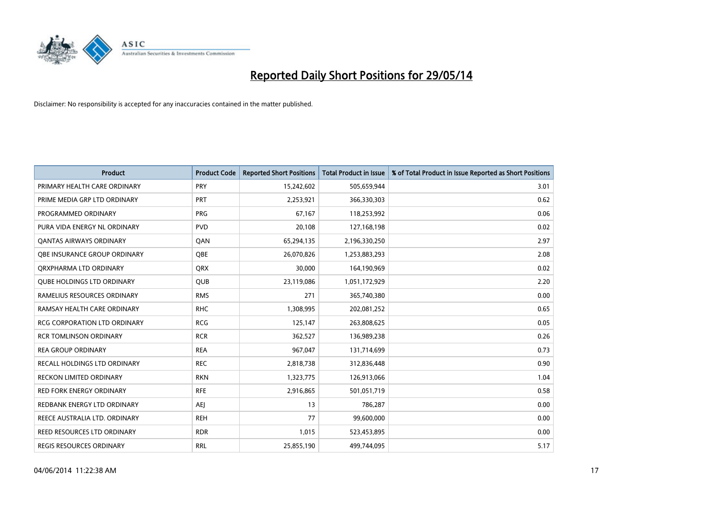

| <b>Product</b>                      | <b>Product Code</b> | <b>Reported Short Positions</b> | <b>Total Product in Issue</b> | % of Total Product in Issue Reported as Short Positions |
|-------------------------------------|---------------------|---------------------------------|-------------------------------|---------------------------------------------------------|
| PRIMARY HEALTH CARE ORDINARY        | <b>PRY</b>          | 15,242,602                      | 505,659,944                   | 3.01                                                    |
| PRIME MEDIA GRP LTD ORDINARY        | PRT                 | 2,253,921                       | 366,330,303                   | 0.62                                                    |
| PROGRAMMED ORDINARY                 | <b>PRG</b>          | 67,167                          | 118,253,992                   | 0.06                                                    |
| PURA VIDA ENERGY NL ORDINARY        | <b>PVD</b>          | 20,108                          | 127,168,198                   | 0.02                                                    |
| OANTAS AIRWAYS ORDINARY             | QAN                 | 65,294,135                      | 2,196,330,250                 | 2.97                                                    |
| OBE INSURANCE GROUP ORDINARY        | <b>OBE</b>          | 26,070,826                      | 1,253,883,293                 | 2.08                                                    |
| ORXPHARMA LTD ORDINARY              | <b>QRX</b>          | 30,000                          | 164,190,969                   | 0.02                                                    |
| <b>QUBE HOLDINGS LTD ORDINARY</b>   | <b>QUB</b>          | 23,119,086                      | 1,051,172,929                 | 2.20                                                    |
| RAMELIUS RESOURCES ORDINARY         | <b>RMS</b>          | 271                             | 365,740,380                   | 0.00                                                    |
| RAMSAY HEALTH CARE ORDINARY         | <b>RHC</b>          | 1,308,995                       | 202,081,252                   | 0.65                                                    |
| RCG CORPORATION LTD ORDINARY        | <b>RCG</b>          | 125,147                         | 263,808,625                   | 0.05                                                    |
| <b>RCR TOMLINSON ORDINARY</b>       | <b>RCR</b>          | 362,527                         | 136,989,238                   | 0.26                                                    |
| <b>REA GROUP ORDINARY</b>           | <b>REA</b>          | 967,047                         | 131,714,699                   | 0.73                                                    |
| <b>RECALL HOLDINGS LTD ORDINARY</b> | <b>REC</b>          | 2,818,738                       | 312,836,448                   | 0.90                                                    |
| <b>RECKON LIMITED ORDINARY</b>      | <b>RKN</b>          | 1,323,775                       | 126,913,066                   | 1.04                                                    |
| RED FORK ENERGY ORDINARY            | <b>RFE</b>          | 2,916,865                       | 501,051,719                   | 0.58                                                    |
| REDBANK ENERGY LTD ORDINARY         | <b>AEJ</b>          | 13                              | 786,287                       | 0.00                                                    |
| REECE AUSTRALIA LTD. ORDINARY       | <b>REH</b>          | 77                              | 99,600,000                    | 0.00                                                    |
| <b>REED RESOURCES LTD ORDINARY</b>  | <b>RDR</b>          | 1,015                           | 523,453,895                   | 0.00                                                    |
| REGIS RESOURCES ORDINARY            | <b>RRL</b>          | 25,855,190                      | 499,744,095                   | 5.17                                                    |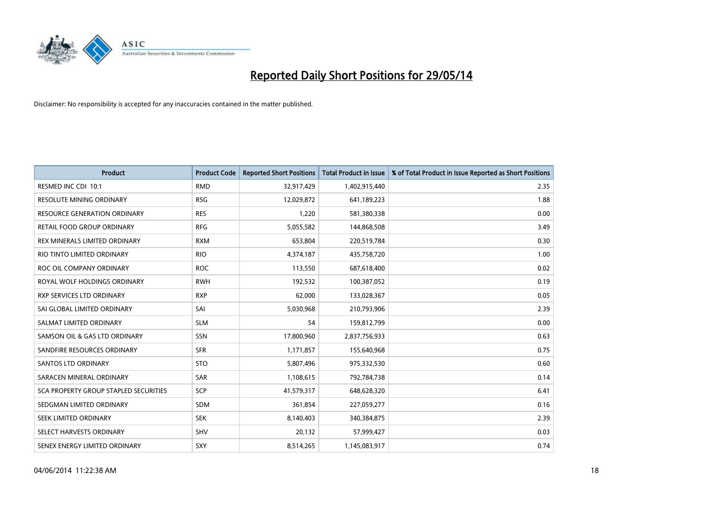

| <b>Product</b>                        | <b>Product Code</b> | <b>Reported Short Positions</b> | <b>Total Product in Issue</b> | % of Total Product in Issue Reported as Short Positions |
|---------------------------------------|---------------------|---------------------------------|-------------------------------|---------------------------------------------------------|
| RESMED INC CDI 10:1                   | <b>RMD</b>          | 32,917,429                      | 1,402,915,440                 | 2.35                                                    |
| <b>RESOLUTE MINING ORDINARY</b>       | <b>RSG</b>          | 12,029,872                      | 641,189,223                   | 1.88                                                    |
| <b>RESOURCE GENERATION ORDINARY</b>   | <b>RES</b>          | 1,220                           | 581,380,338                   | 0.00                                                    |
| RETAIL FOOD GROUP ORDINARY            | <b>RFG</b>          | 5,055,582                       | 144,868,508                   | 3.49                                                    |
| REX MINERALS LIMITED ORDINARY         | <b>RXM</b>          | 653,804                         | 220,519,784                   | 0.30                                                    |
| RIO TINTO LIMITED ORDINARY            | <b>RIO</b>          | 4,374,187                       | 435,758,720                   | 1.00                                                    |
| ROC OIL COMPANY ORDINARY              | <b>ROC</b>          | 113,550                         | 687,618,400                   | 0.02                                                    |
| ROYAL WOLF HOLDINGS ORDINARY          | <b>RWH</b>          | 192,532                         | 100,387,052                   | 0.19                                                    |
| RXP SERVICES LTD ORDINARY             | <b>RXP</b>          | 62,000                          | 133,028,367                   | 0.05                                                    |
| SAI GLOBAL LIMITED ORDINARY           | SAI                 | 5,030,968                       | 210,793,906                   | 2.39                                                    |
| SALMAT LIMITED ORDINARY               | <b>SLM</b>          | 54                              | 159,812,799                   | 0.00                                                    |
| SAMSON OIL & GAS LTD ORDINARY         | SSN                 | 17,800,960                      | 2,837,756,933                 | 0.63                                                    |
| SANDFIRE RESOURCES ORDINARY           | <b>SFR</b>          | 1,171,857                       | 155,640,968                   | 0.75                                                    |
| SANTOS LTD ORDINARY                   | <b>STO</b>          | 5,807,496                       | 975,332,530                   | 0.60                                                    |
| SARACEN MINERAL ORDINARY              | SAR                 | 1,108,615                       | 792,784,738                   | 0.14                                                    |
| SCA PROPERTY GROUP STAPLED SECURITIES | SCP                 | 41,579,317                      | 648,628,320                   | 6.41                                                    |
| SEDGMAN LIMITED ORDINARY              | SDM                 | 361,854                         | 227,059,277                   | 0.16                                                    |
| SEEK LIMITED ORDINARY                 | <b>SEK</b>          | 8,140,403                       | 340,384,875                   | 2.39                                                    |
| SELECT HARVESTS ORDINARY              | SHV                 | 20,132                          | 57,999,427                    | 0.03                                                    |
| SENEX ENERGY LIMITED ORDINARY         | <b>SXY</b>          | 8,514,265                       | 1,145,083,917                 | 0.74                                                    |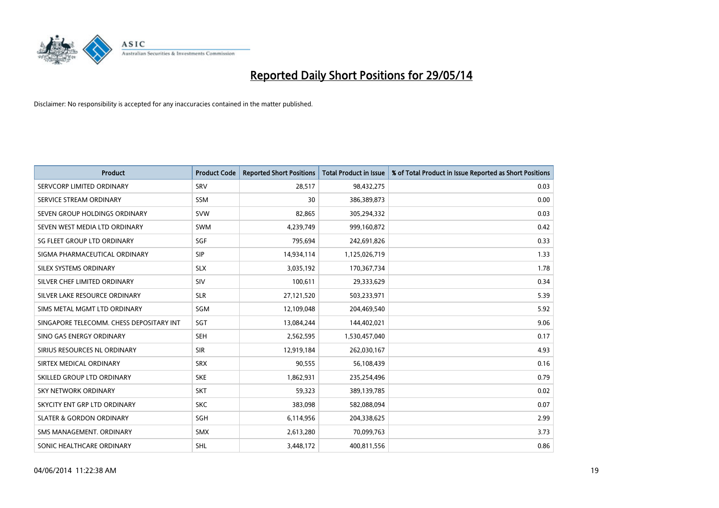

| <b>Product</b>                           | <b>Product Code</b> | <b>Reported Short Positions</b> | <b>Total Product in Issue</b> | % of Total Product in Issue Reported as Short Positions |
|------------------------------------------|---------------------|---------------------------------|-------------------------------|---------------------------------------------------------|
| SERVCORP LIMITED ORDINARY                | SRV                 | 28,517                          | 98,432,275                    | 0.03                                                    |
| SERVICE STREAM ORDINARY                  | <b>SSM</b>          | 30                              | 386,389,873                   | 0.00                                                    |
| SEVEN GROUP HOLDINGS ORDINARY            | <b>SVW</b>          | 82,865                          | 305,294,332                   | 0.03                                                    |
| SEVEN WEST MEDIA LTD ORDINARY            | <b>SWM</b>          | 4,239,749                       | 999,160,872                   | 0.42                                                    |
| SG FLEET GROUP LTD ORDINARY              | SGF                 | 795,694                         | 242,691,826                   | 0.33                                                    |
| SIGMA PHARMACEUTICAL ORDINARY            | <b>SIP</b>          | 14,934,114                      | 1,125,026,719                 | 1.33                                                    |
| SILEX SYSTEMS ORDINARY                   | <b>SLX</b>          | 3,035,192                       | 170,367,734                   | 1.78                                                    |
| SILVER CHEF LIMITED ORDINARY             | SIV                 | 100,611                         | 29,333,629                    | 0.34                                                    |
| SILVER LAKE RESOURCE ORDINARY            | <b>SLR</b>          | 27,121,520                      | 503,233,971                   | 5.39                                                    |
| SIMS METAL MGMT LTD ORDINARY             | SGM                 | 12,109,048                      | 204,469,540                   | 5.92                                                    |
| SINGAPORE TELECOMM. CHESS DEPOSITARY INT | SGT                 | 13,084,244                      | 144,402,021                   | 9.06                                                    |
| SINO GAS ENERGY ORDINARY                 | <b>SEH</b>          | 2,562,595                       | 1,530,457,040                 | 0.17                                                    |
| SIRIUS RESOURCES NL ORDINARY             | <b>SIR</b>          | 12,919,184                      | 262,030,167                   | 4.93                                                    |
| SIRTEX MEDICAL ORDINARY                  | <b>SRX</b>          | 90,555                          | 56,108,439                    | 0.16                                                    |
| SKILLED GROUP LTD ORDINARY               | <b>SKE</b>          | 1,862,931                       | 235,254,496                   | 0.79                                                    |
| <b>SKY NETWORK ORDINARY</b>              | <b>SKT</b>          | 59,323                          | 389,139,785                   | 0.02                                                    |
| SKYCITY ENT GRP LTD ORDINARY             | <b>SKC</b>          | 383,098                         | 582,088,094                   | 0.07                                                    |
| <b>SLATER &amp; GORDON ORDINARY</b>      | SGH                 | 6,114,956                       | 204,338,625                   | 2.99                                                    |
| SMS MANAGEMENT, ORDINARY                 | <b>SMX</b>          | 2,613,280                       | 70,099,763                    | 3.73                                                    |
| SONIC HEALTHCARE ORDINARY                | <b>SHL</b>          | 3,448,172                       | 400,811,556                   | 0.86                                                    |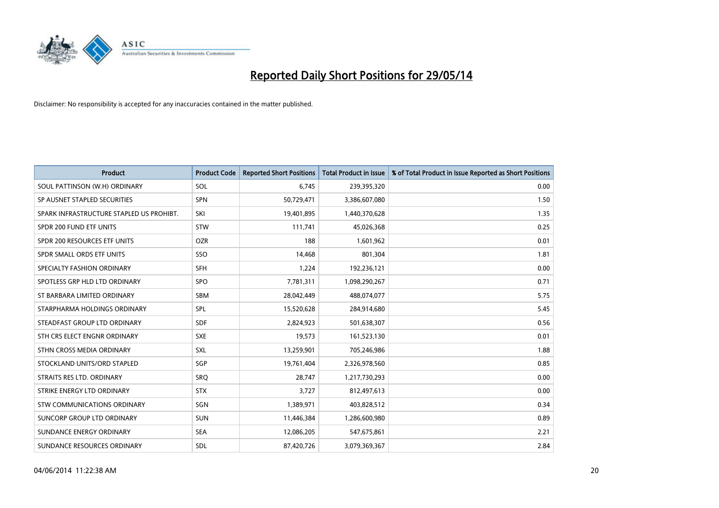

| <b>Product</b>                           | <b>Product Code</b> | <b>Reported Short Positions</b> | <b>Total Product in Issue</b> | % of Total Product in Issue Reported as Short Positions |
|------------------------------------------|---------------------|---------------------------------|-------------------------------|---------------------------------------------------------|
| SOUL PATTINSON (W.H) ORDINARY            | SOL                 | 6,745                           | 239,395,320                   | 0.00                                                    |
| SP AUSNET STAPLED SECURITIES             | <b>SPN</b>          | 50,729,471                      | 3,386,607,080                 | 1.50                                                    |
| SPARK INFRASTRUCTURE STAPLED US PROHIBT. | SKI                 | 19,401,895                      | 1,440,370,628                 | 1.35                                                    |
| SPDR 200 FUND ETF UNITS                  | <b>STW</b>          | 111,741                         | 45,026,368                    | 0.25                                                    |
| SPDR 200 RESOURCES ETF UNITS             | <b>OZR</b>          | 188                             | 1,601,962                     | 0.01                                                    |
| SPDR SMALL ORDS ETF UNITS                | SSO                 | 14,468                          | 801,304                       | 1.81                                                    |
| SPECIALTY FASHION ORDINARY               | <b>SFH</b>          | 1,224                           | 192,236,121                   | 0.00                                                    |
| SPOTLESS GRP HLD LTD ORDINARY            | <b>SPO</b>          | 7,781,311                       | 1,098,290,267                 | 0.71                                                    |
| ST BARBARA LIMITED ORDINARY              | <b>SBM</b>          | 28,042,449                      | 488,074,077                   | 5.75                                                    |
| STARPHARMA HOLDINGS ORDINARY             | SPL                 | 15,520,628                      | 284,914,680                   | 5.45                                                    |
| STEADFAST GROUP LTD ORDINARY             | <b>SDF</b>          | 2,824,923                       | 501,638,307                   | 0.56                                                    |
| STH CRS ELECT ENGNR ORDINARY             | <b>SXE</b>          | 19,573                          | 161,523,130                   | 0.01                                                    |
| STHN CROSS MEDIA ORDINARY                | SXL                 | 13,259,901                      | 705,246,986                   | 1.88                                                    |
| STOCKLAND UNITS/ORD STAPLED              | SGP                 | 19,761,404                      | 2,326,978,560                 | 0.85                                                    |
| STRAITS RES LTD. ORDINARY                | SRQ                 | 28,747                          | 1,217,730,293                 | 0.00                                                    |
| STRIKE ENERGY LTD ORDINARY               | <b>STX</b>          | 3,727                           | 812,497,613                   | 0.00                                                    |
| STW COMMUNICATIONS ORDINARY              | SGN                 | 1,389,971                       | 403,828,512                   | 0.34                                                    |
| SUNCORP GROUP LTD ORDINARY               | <b>SUN</b>          | 11,446,384                      | 1,286,600,980                 | 0.89                                                    |
| SUNDANCE ENERGY ORDINARY                 | <b>SEA</b>          | 12,086,205                      | 547,675,861                   | 2.21                                                    |
| SUNDANCE RESOURCES ORDINARY              | <b>SDL</b>          | 87,420,726                      | 3,079,369,367                 | 2.84                                                    |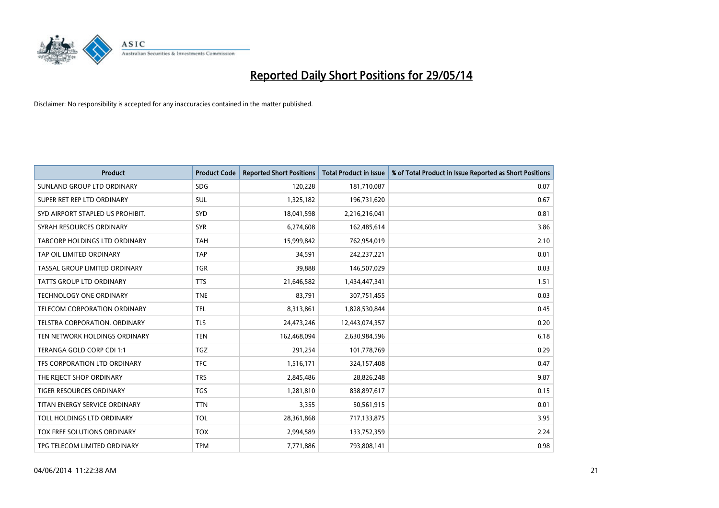

| <b>Product</b>                   | <b>Product Code</b> | <b>Reported Short Positions</b> | <b>Total Product in Issue</b> | % of Total Product in Issue Reported as Short Positions |
|----------------------------------|---------------------|---------------------------------|-------------------------------|---------------------------------------------------------|
| SUNLAND GROUP LTD ORDINARY       | <b>SDG</b>          | 120,228                         | 181,710,087                   | 0.07                                                    |
| SUPER RET REP LTD ORDINARY       | <b>SUL</b>          | 1,325,182                       | 196,731,620                   | 0.67                                                    |
| SYD AIRPORT STAPLED US PROHIBIT. | <b>SYD</b>          | 18,041,598                      | 2,216,216,041                 | 0.81                                                    |
| SYRAH RESOURCES ORDINARY         | <b>SYR</b>          | 6,274,608                       | 162,485,614                   | 3.86                                                    |
| TABCORP HOLDINGS LTD ORDINARY    | <b>TAH</b>          | 15,999,842                      | 762,954,019                   | 2.10                                                    |
| TAP OIL LIMITED ORDINARY         | <b>TAP</b>          | 34,591                          | 242,237,221                   | 0.01                                                    |
| TASSAL GROUP LIMITED ORDINARY    | TGR                 | 39,888                          | 146,507,029                   | 0.03                                                    |
| TATTS GROUP LTD ORDINARY         | <b>TTS</b>          | 21,646,582                      | 1,434,447,341                 | 1.51                                                    |
| <b>TECHNOLOGY ONE ORDINARY</b>   | <b>TNE</b>          | 83,791                          | 307,751,455                   | 0.03                                                    |
| TELECOM CORPORATION ORDINARY     | <b>TEL</b>          | 8,313,861                       | 1,828,530,844                 | 0.45                                                    |
| TELSTRA CORPORATION. ORDINARY    | <b>TLS</b>          | 24,473,246                      | 12,443,074,357                | 0.20                                                    |
| TEN NETWORK HOLDINGS ORDINARY    | <b>TEN</b>          | 162,468,094                     | 2,630,984,596                 | 6.18                                                    |
| TERANGA GOLD CORP CDI 1:1        | TGZ                 | 291,254                         | 101,778,769                   | 0.29                                                    |
| TFS CORPORATION LTD ORDINARY     | <b>TFC</b>          | 1,516,171                       | 324,157,408                   | 0.47                                                    |
| THE REJECT SHOP ORDINARY         | <b>TRS</b>          | 2,845,486                       | 28,826,248                    | 9.87                                                    |
| TIGER RESOURCES ORDINARY         | <b>TGS</b>          | 1,281,810                       | 838,897,617                   | 0.15                                                    |
| TITAN ENERGY SERVICE ORDINARY    | <b>TTN</b>          | 3,355                           | 50,561,915                    | 0.01                                                    |
| TOLL HOLDINGS LTD ORDINARY       | <b>TOL</b>          | 28,361,868                      | 717,133,875                   | 3.95                                                    |
| TOX FREE SOLUTIONS ORDINARY      | <b>TOX</b>          | 2,994,589                       | 133,752,359                   | 2.24                                                    |
| TPG TELECOM LIMITED ORDINARY     | <b>TPM</b>          | 7,771,886                       | 793,808,141                   | 0.98                                                    |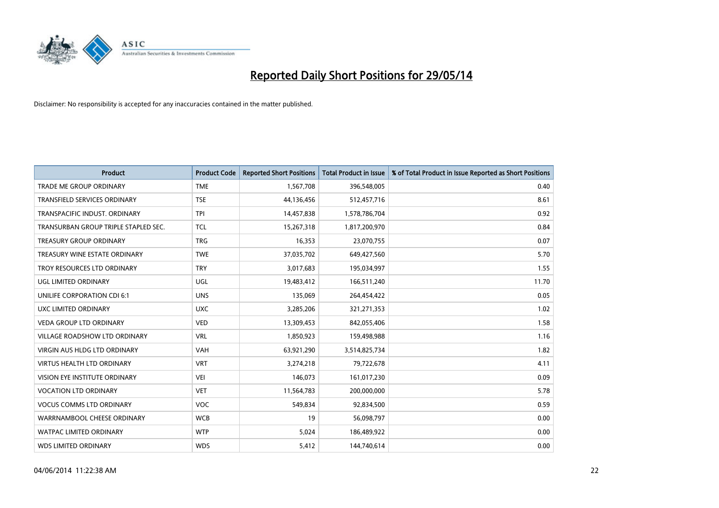

| <b>Product</b>                       | <b>Product Code</b> | <b>Reported Short Positions</b> | <b>Total Product in Issue</b> | % of Total Product in Issue Reported as Short Positions |
|--------------------------------------|---------------------|---------------------------------|-------------------------------|---------------------------------------------------------|
| <b>TRADE ME GROUP ORDINARY</b>       | <b>TME</b>          | 1,567,708                       | 396,548,005                   | 0.40                                                    |
| <b>TRANSFIELD SERVICES ORDINARY</b>  | <b>TSE</b>          | 44,136,456                      | 512,457,716                   | 8.61                                                    |
| TRANSPACIFIC INDUST. ORDINARY        | <b>TPI</b>          | 14,457,838                      | 1,578,786,704                 | 0.92                                                    |
| TRANSURBAN GROUP TRIPLE STAPLED SEC. | <b>TCL</b>          | 15,267,318                      | 1,817,200,970                 | 0.84                                                    |
| <b>TREASURY GROUP ORDINARY</b>       | <b>TRG</b>          | 16,353                          | 23,070,755                    | 0.07                                                    |
| TREASURY WINE ESTATE ORDINARY        | <b>TWE</b>          | 37,035,702                      | 649,427,560                   | 5.70                                                    |
| TROY RESOURCES LTD ORDINARY          | <b>TRY</b>          | 3,017,683                       | 195,034,997                   | 1.55                                                    |
| UGL LIMITED ORDINARY                 | UGL                 | 19,483,412                      | 166,511,240                   | 11.70                                                   |
| UNILIFE CORPORATION CDI 6:1          | <b>UNS</b>          | 135,069                         | 264,454,422                   | 0.05                                                    |
| <b>UXC LIMITED ORDINARY</b>          | <b>UXC</b>          | 3,285,206                       | 321,271,353                   | 1.02                                                    |
| <b>VEDA GROUP LTD ORDINARY</b>       | <b>VED</b>          | 13,309,453                      | 842,055,406                   | 1.58                                                    |
| <b>VILLAGE ROADSHOW LTD ORDINARY</b> | <b>VRL</b>          | 1,850,923                       | 159,498,988                   | 1.16                                                    |
| VIRGIN AUS HLDG LTD ORDINARY         | <b>VAH</b>          | 63,921,290                      | 3,514,825,734                 | 1.82                                                    |
| <b>VIRTUS HEALTH LTD ORDINARY</b>    | <b>VRT</b>          | 3,274,218                       | 79,722,678                    | 4.11                                                    |
| <b>VISION EYE INSTITUTE ORDINARY</b> | <b>VEI</b>          | 146,073                         | 161,017,230                   | 0.09                                                    |
| <b>VOCATION LTD ORDINARY</b>         | <b>VET</b>          | 11,564,783                      | 200,000,000                   | 5.78                                                    |
| <b>VOCUS COMMS LTD ORDINARY</b>      | <b>VOC</b>          | 549,834                         | 92,834,500                    | 0.59                                                    |
| WARRNAMBOOL CHEESE ORDINARY          | <b>WCB</b>          | 19                              | 56,098,797                    | 0.00                                                    |
| <b>WATPAC LIMITED ORDINARY</b>       | <b>WTP</b>          | 5,024                           | 186,489,922                   | 0.00                                                    |
| <b>WDS LIMITED ORDINARY</b>          | <b>WDS</b>          | 5,412                           | 144,740,614                   | 0.00                                                    |